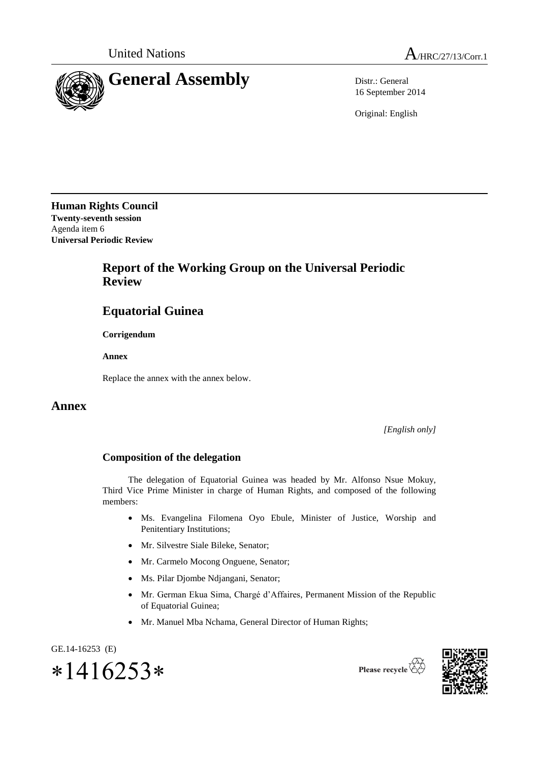

16 September 2014

Original: English

**Human Rights Council Twenty-seventh session** Agenda item 6 **Universal Periodic Review**

## **Report of the Working Group on the Universal Periodic Review**

## **Equatorial Guinea**

**Corrigendum**

**Annex**

Replace the annex with the annex below.

## **Annex**

*[English only]*

## **Composition of the delegation**

The delegation of Equatorial Guinea was headed by Mr. Alfonso Nsue Mokuy, Third Vice Prime Minister in charge of Human Rights, and composed of the following members:

- Ms. Evangelina Filomena Oyo Ebule, Minister of Justice, Worship and Penitentiary Institutions;
- Mr. Silvestre Siale Bileke, Senator;
- Mr. Carmelo Mocong Onguene, Senator;
- Ms. Pilar Djombe Ndjangani, Senator;
- Mr. German Ekua Sima, Chargé d'Affaires, Permanent Mission of the Republic of Equatorial Guinea;
- Mr. Manuel Mba Nchama, General Director of Human Rights;



Please recycle  $\overleftrightarrow{C}$